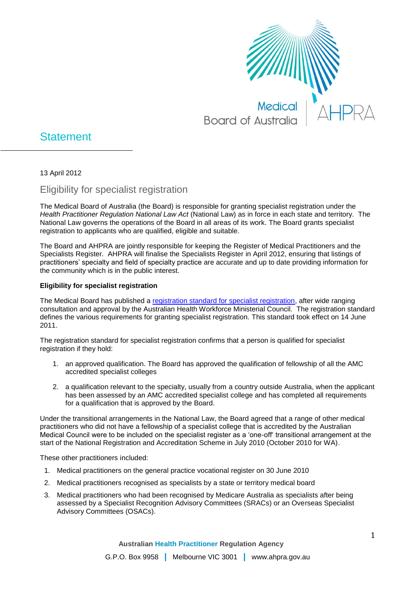

## **Statement**

13 April 2012

Eligibility for specialist registration

The Medical Board of Australia (the Board) is responsible for granting specialist registration under the *Health Practitioner Regulation National Law Act* (National Law) as in force in each state and territory. The National Law governs the operations of the Board in all areas of its work. The Board grants specialist registration to applicants who are qualified, eligible and suitable.

The Board and AHPRA are jointly responsible for keeping the Register of Medical Practitioners and the Specialists Register. AHPRA will finalise the Specialists Register in April 2012, ensuring that listings of practitioners' specialty and field of specialty practice are accurate and up to date providing information for the community which is in the public interest.

## **Eligibility for specialist registration**

The Medical Board has published a [registration standard for specialist registration,](http://www.medicalboard.gov.au/Registration-Standards.aspx) after wide ranging consultation and approval by the Australian Health Workforce Ministerial Council. The registration standard defines the various requirements for granting specialist registration. This standard took effect on 14 June 2011.

The registration standard for specialist registration confirms that a person is qualified for specialist registration if they hold:

- 1. an approved qualification. The Board has approved the qualification of fellowship of all the AMC accredited specialist colleges
- 2. a qualification relevant to the specialty, usually from a country outside Australia, when the applicant has been assessed by an AMC accredited specialist college and has completed all requirements for a qualification that is approved by the Board.

Under the transitional arrangements in the National Law, the Board agreed that a range of other medical practitioners who did not have a fellowship of a specialist college that is accredited by the Australian Medical Council were to be included on the specialist register as a 'one-off' transitional arrangement at the start of the National Registration and Accreditation Scheme in July 2010 (October 2010 for WA).

These other practitioners included:

- 1. Medical practitioners on the general practice vocational register on 30 June 2010
- 2. Medical practitioners recognised as specialists by a state or territory medical board
- 3. Medical practitioners who had been recognised by Medicare Australia as specialists after being assessed by a Specialist Recognition Advisory Committees (SRACs) or an Overseas Specialist Advisory Committees (OSACs).